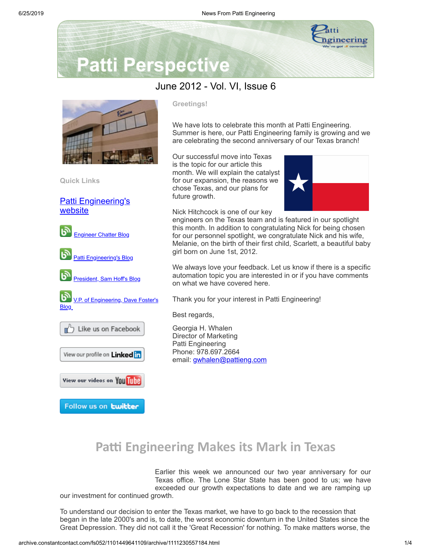

# **Patti Perspective**

### June 2012 - Vol. VI, Issue 6



**Quick Links**

[Patti Engineering's](http://www.pattieng.com/?utm_source=Update+of+Patti+Perspective+6_2012&utm_campaign=June+Newsletter&utm_medium=archive) website



#### **Greetings!**

We have lots to celebrate this month at Patti Engineering. Summer is here, our Patti Engineering family is growing and we are celebrating the second anniversary of our Texas branch!

Our successful move into Texas is the topic for our article this month. We will explain the catalyst for our expansion, the reasons we chose Texas, and our plans for future growth.



Nick Hitchcock is one of our key engineers on the Texas team and is featured in our spotlight this month. In addition to congratulating Nick for being chosen for our personnel spotlight, we congratulate Nick and his wife, Melanie, on the birth of their first child, Scarlett, a beautiful baby girl born on June 1st, 2012.

We always love your feedback. Let us know if there is a specific automation topic you are interested in or if you have comments on what we have covered here.

Thank you for your interest in Patti Engineering!

Best regards,

Georgia H. Whalen Director of Marketing Patti Engineering Phone: 978.697.2664 email: [gwhalen@pattieng.com](mailto:gwhalen@pattieng.com)

## **Pa Engineering Makes its Mark in Texas**

Earlier this week we announced our two year anniversary for our Texas office. The Lone Star State has been good to us; we have exceeded our growth expectations to date and we are ramping up our investment for continued growth.

To understand our decision to enter the Texas market, we have to go back to the recession that began in the late 2000's and is, to date, the worst economic downturn in the United States since the Great Depression. They did not call it the 'Great Recession' for nothing. To make matters worse, the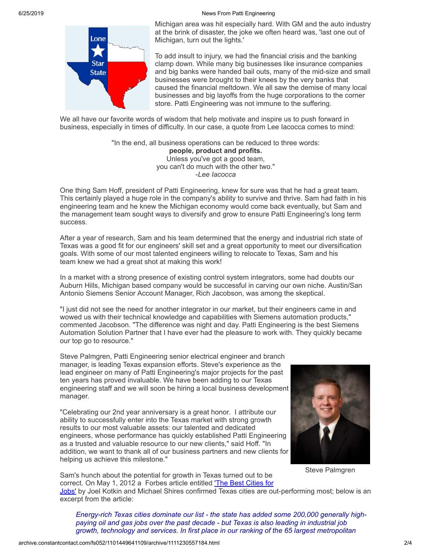6/25/2019 News From Patti Engineering



Michigan area was hit especially hard. With GM and the auto industry at the brink of disaster, the joke we often heard was, 'last one out of Michigan, turn out the lights.'

To add insult to injury, we had the financial crisis and the banking clamp down. While many big businesses like insurance companies and big banks were handed bail outs, many of the mid-size and small businesses were brought to their knees by the very banks that caused the financial meltdown. We all saw the demise of many local businesses and big layoffs from the huge corporations to the corner store. Patti Engineering was not immune to the suffering.

We all have our favorite words of wisdom that help motivate and inspire us to push forward in business, especially in times of difficulty. In our case, a quote from Lee Iacocca comes to mind:

> "In the end, all business operations can be reduced to three words: **people, product and profits.** Unless you've got a good team, you can't do much with the other two." -*Lee Iacocca*

One thing Sam Hoff, president of Patti Engineering, knew for sure was that he had a great team. This certainly played a huge role in the company's ability to survive and thrive. Sam had faith in his engineering team and he knew the Michigan economy would come back eventually, but Sam and the management team sought ways to diversify and grow to ensure Patti Engineering's long term success.

After a year of research, Sam and his team determined that the energy and industrial rich state of Texas was a good fit for our engineers' skill set and a great opportunity to meet our diversification goals. With some of our most talented engineers willing to relocate to Texas, Sam and his team knew we had a great shot at making this work!

In a market with a strong presence of existing control system integrators, some had doubts our Auburn Hills, Michigan based company would be successful in carving our own niche. Austin/San Antonio Siemens Senior Account Manager, Rich Jacobson, was among the skeptical.

"I just did not see the need for another integrator in our market, but their engineers came in and wowed us with their technical knowledge and capabilities with Siemens automation products," commented Jacobson. "The difference was night and day. Patti Engineering is the best Siemens Automation Solution Partner that I have ever had the pleasure to work with. They quickly became our top go to resource."

Steve Palmgren, Patti Engineering senior electrical engineer and branch manager, is leading Texas expansion efforts. Steve's experience as the lead engineer on many of Patti Engineering's major projects for the past ten years has proved invaluable. We have been adding to our Texas engineering staff and we will soon be hiring a local business development manager.

"Celebrating our 2nd year anniversary is a great honor. I attribute our ability to successfully enter into the Texas market with strong growth results to our most valuable assets: our talented and dedicated engineers, whose performance has quickly established Patti Engineering as a trusted and valuable resource to our new clients," said Hoff. "In addition, we want to thank all of our business partners and new clients for helping us achieve this milestone."



Steve Palmgren

Sam's hunch about the potential for growth in Texas turned out to be correct. On May 1, 2012 a Forbes article entitled 'The Best Cities for

Jobs' by Joel Kotkin and Michael Shires [confirmed](http://www.forbes.com/sites/joelkotkin/2012/05/01/the-best-cities-for-jobs-2/?utm_source=Update+of+Patti+Perspective+6_2012&utm_campaign=June+Newsletter&utm_medium=archive) Texas cities are out-performing most; below is an excerpt from the article:

*Energy-rich Texas cities dominate our list - the state has added some 200,000 generally highpaying oil and gas jobs over the past decade - but Texas is also leading in industrial job growth, technology and services. In first place in our ranking of the 65 largest metropolitan*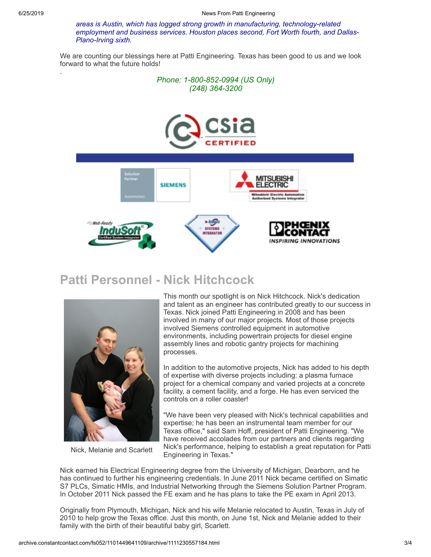.

*areas is Austin, which has logged strong growth in manufacturing, technology-related employment and business services. Houston places second, Fort Worth fourth, and Dallas-Plano-Irving sixth.*

We are counting our blessings here at Patti Engineering. Texas has been good to us and we look forward to what the future holds!







### **Patti Personnel - Nick Hitchcock**



Nick, Melanie and Scarlett

This month our spotlight is on Nick Hitchcock. Nick's dedication and talent as an engineer has contributed greatly to our success in Texas. Nick joined Patti Engineering in 2008 and has been involved in many of our major projects. Most of those projects involved Siemens controlled equipment in automotive environments, including powertrain projects for diesel engine assembly lines and robotic gantry projects for machining processes.

In addition to the automotive projects, Nick has added to his depth of expertise with diverse projects including: a plasma furnace project for a chemical company and varied projects at a concrete facility, a cement facility, and a forge. He has even serviced the controls on a roller coaster!

"We have been very pleased with Nick's technical capabilities and expertise; he has been an instrumental team member for our Texas office," said Sam Hoff, president of Patti Engineering. "We have received accolades from our partners and clients regarding Nick's performance, helping to establish a great reputation for Patti Engineering in Texas."

Nick earned his Electrical Engineering degree from the University of Michigan, Dearborn, and he has continued to further his engineering credentials. In June 2011 Nick became certified on Simatic S7 PLCs, Simatic HMIs, and Industrial Networking through the Siemens Solution Partner Program. In October 2011 Nick passed the FE exam and he has plans to take the PE exam in April 2013.

Originally from Plymouth, Michigan, Nick and his wife Melanie relocated to Austin, Texas in July of 2010 to help grow the Texas office. Just this month, on June 1st, Nick and Melanie added to their family with the birth of their beautiful baby girl, Scarlett.